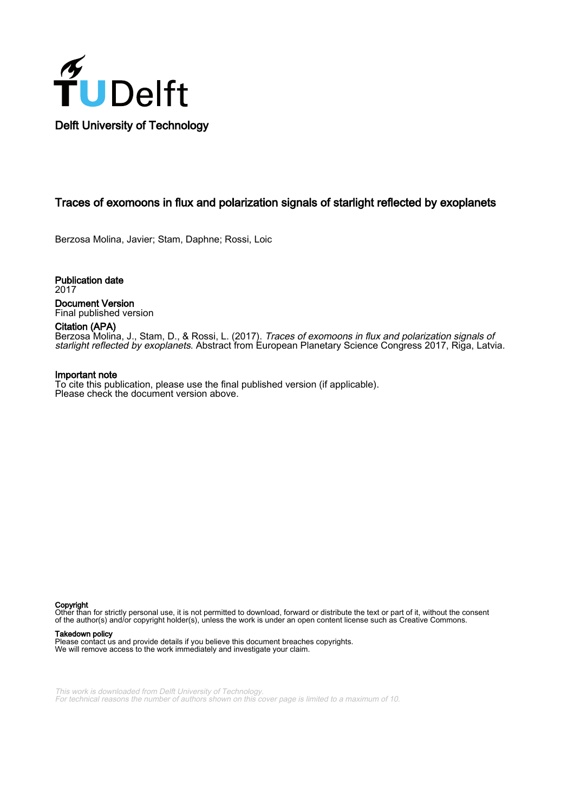

# Traces of exomoons in flux and polarization signals of starlight reflected by exoplanets

Berzosa Molina, Javier; Stam, Daphne; Rossi, Loic

Publication date 2017 Document Version Final published version

## Citation (APA)

Berzosa Molina, J., Stam, D., & Rossi, L. (2017). Traces of exomoons in flux and polarization signals of starlight reflected by exoplanets. Abstract from European Planetary Science Congress 2017, Riga, Latvia.

#### Important note

To cite this publication, please use the final published version (if applicable). Please check the document version above.

Copyright

Other than for strictly personal use, it is not permitted to download, forward or distribute the text or part of it, without the consent of the author(s) and/or copyright holder(s), unless the work is under an open content license such as Creative Commons.

#### Takedown policy

Please contact us and provide details if you believe this document breaches copyrights. We will remove access to the work immediately and investigate your claim.

This work is downloaded from Delft University of Technology. For technical reasons the number of authors shown on this cover page is limited to a maximum of 10.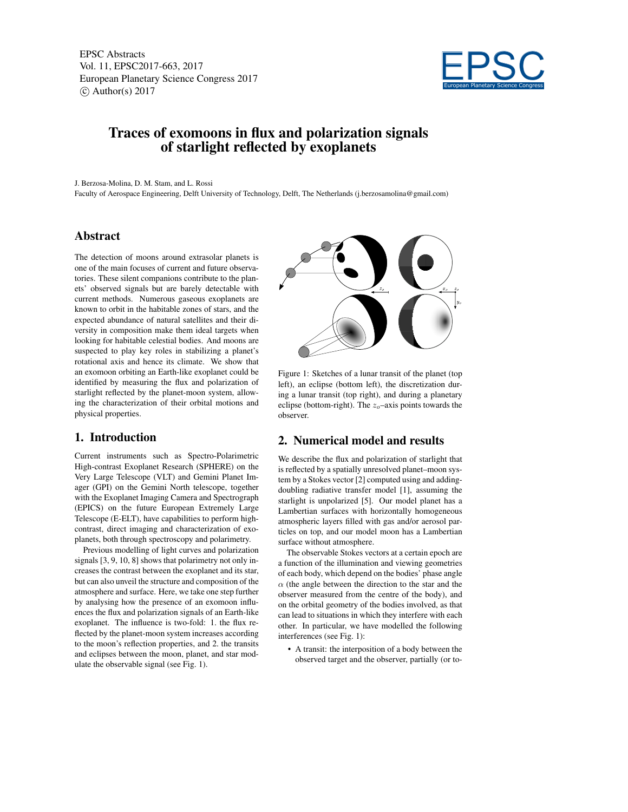EPSC Abstracts Vol. 11, EPSC2017-663, 2017 European Planetary Science Congress 2017  $\circ$  Author(s) 2017



# Traces of exomoons in flux and polarization signals of starlight reflected by exoplanets

J. Berzosa-Molina, D. M. Stam, and L. Rossi

Faculty of Aerospace Engineering, Delft University of Technology, Delft, The Netherlands (j.berzosamolina@gmail.com)

### Abstract

The detection of moons around extrasolar planets is one of the main focuses of current and future observatories. These silent companions contribute to the planets' observed signals but are barely detectable with current methods. Numerous gaseous exoplanets are known to orbit in the habitable zones of stars, and the expected abundance of natural satellites and their diversity in composition make them ideal targets when looking for habitable celestial bodies. And moons are suspected to play key roles in stabilizing a planet's rotational axis and hence its climate. We show that an exomoon orbiting an Earth-like exoplanet could be identified by measuring the flux and polarization of starlight reflected by the planet-moon system, allowing the characterization of their orbital motions and physical properties.

### 1. Introduction

Current instruments such as Spectro-Polarimetric High-contrast Exoplanet Research (SPHERE) on the Very Large Telescope (VLT) and Gemini Planet Imager (GPI) on the Gemini North telescope, together with the Exoplanet Imaging Camera and Spectrograph (EPICS) on the future European Extremely Large Telescope (E-ELT), have capabilities to perform highcontrast, direct imaging and characterization of exoplanets, both through spectroscopy and polarimetry.

Previous modelling of light curves and polarization signals [3, 9, 10, 8] shows that polarimetry not only increases the contrast between the exoplanet and its star, but can also unveil the structure and composition of the atmosphere and surface. Here, we take one step further by analysing how the presence of an exomoon influences the flux and polarization signals of an Earth-like exoplanet. The influence is two-fold: 1. the flux reflected by the planet-moon system increases according to the moon's reflection properties, and 2. the transits and eclipses between the moon, planet, and star modulate the observable signal (see Fig. 1).



Figure 1: Sketches of a lunar transit of the planet (top left), an eclipse (bottom left), the discretization during a lunar transit (top right), and during a planetary eclipse (bottom-right). The  $z_0$ -axis points towards the observer.

### 2. Numerical model and results

We describe the flux and polarization of starlight that is reflected by a spatially unresolved planet–moon system by a Stokes vector [2] computed using and addingdoubling radiative transfer model [1], assuming the starlight is unpolarized [5]. Our model planet has a Lambertian surfaces with horizontally homogeneous atmospheric layers filled with gas and/or aerosol particles on top, and our model moon has a Lambertian surface without atmosphere.

The observable Stokes vectors at a certain epoch are a function of the illumination and viewing geometries of each body, which depend on the bodies' phase angle  $\alpha$  (the angle between the direction to the star and the observer measured from the centre of the body), and on the orbital geometry of the bodies involved, as that can lead to situations in which they interfere with each other. In particular, we have modelled the following interferences (see Fig. 1):

• A transit: the interposition of a body between the observed target and the observer, partially (or to-